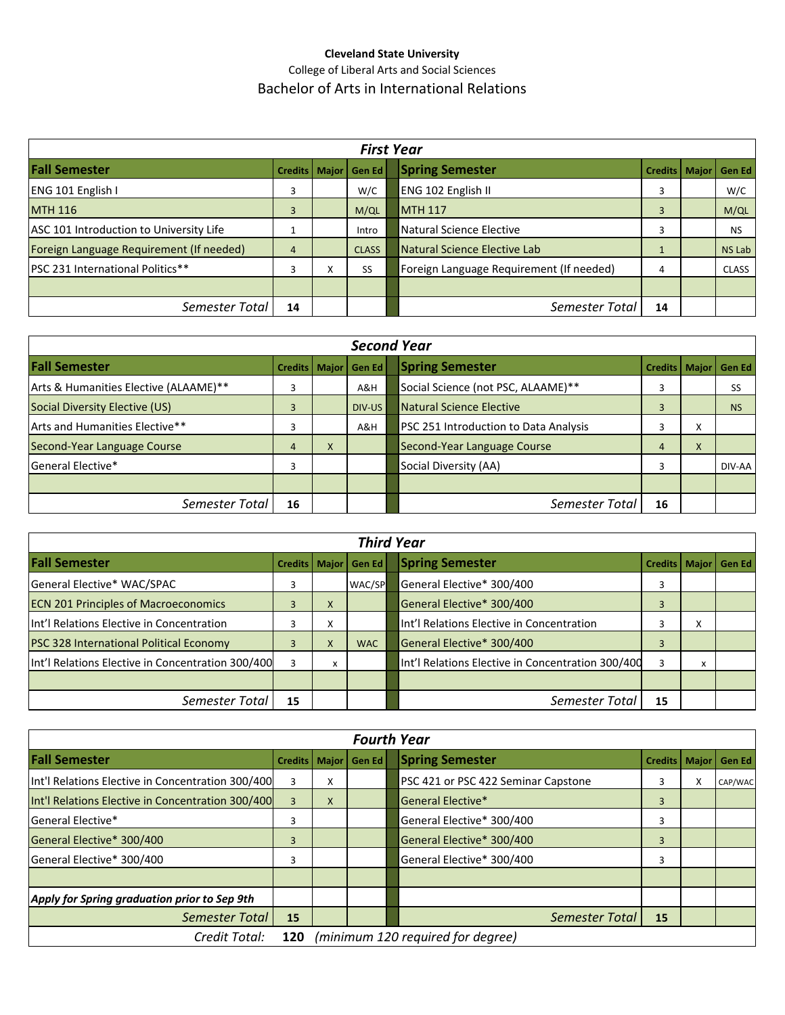## **Cleveland State University** College of Liberal Arts and Social Sciences Bachelor of Arts in International Relations

| <b>First Year</b>                        |                 |                           |              |  |                                          |         |       |               |
|------------------------------------------|-----------------|---------------------------|--------------|--|------------------------------------------|---------|-------|---------------|
| <b>Fall Semester</b>                     | Credits   Major |                           | Gen Ed       |  | <b>Spring Semester</b>                   | Credits | Major | <b>Gen Ed</b> |
| ENG 101 English I                        | 3               |                           | W/C          |  | ENG 102 English II                       | 3       |       | W/C           |
| <b>MTH 116</b>                           | 3               |                           | M/QL         |  | <b>MTH 117</b>                           | 3       |       | M/QL          |
| ASC 101 Introduction to University Life  |                 |                           | Intro        |  | Natural Science Elective                 |         |       | <b>NS</b>     |
| Foreign Language Requirement (If needed) | $\overline{4}$  |                           | <b>CLASS</b> |  | Natural Science Elective Lab             |         |       | <b>NS Lab</b> |
| <b>IPSC 231 International Politics**</b> | 3               | $\mathbf{v}$<br>$\lambda$ | SS           |  | Foreign Language Requirement (If needed) | 4       |       | <b>CLASS</b>  |
|                                          |                 |                           |              |  |                                          |         |       |               |
| Semester Total                           | 14              |                           |              |  | Semester Total                           | 14      |       |               |

| <b>Second Year</b>                    |                        |   |        |  |                                       |                 |                           |               |
|---------------------------------------|------------------------|---|--------|--|---------------------------------------|-----------------|---------------------------|---------------|
| <b>Fall Semester</b>                  | <b>Credits   Major</b> |   | Gen Ed |  | <b>Spring Semester</b>                | Credits   Major |                           | <b>Gen Ed</b> |
| Arts & Humanities Elective (ALAAME)** | 3                      |   | A&H    |  | Social Science (not PSC, ALAAME)**    |                 |                           | SS            |
| Social Diversity Elective (US)        |                        |   | DIV-US |  | Natural Science Elective              |                 |                           | <b>NS</b>     |
| Arts and Humanities Elective**        |                        |   | A&H    |  | PSC 251 Introduction to Data Analysis |                 | $\checkmark$<br>$\lambda$ |               |
| Second-Year Language Course           | 4                      | X |        |  | Second-Year Language Course           | 4               | X                         |               |
| General Elective*                     | 3                      |   |        |  | Social Diversity (AA)                 | 3               |                           | DIV-AA        |
|                                       |                        |   |        |  |                                       |                 |                           |               |
| Semester Total                        | 16                     |   |        |  | Semester Total                        | 16              |                           |               |

| <b>Third Year</b>                                 |    |   |                          |  |                                                   |                          |   |  |
|---------------------------------------------------|----|---|--------------------------|--|---------------------------------------------------|--------------------------|---|--|
| <b>Fall Semester</b>                              |    |   | Credits   Major   Gen Ed |  | <b>Spring Semester</b>                            | Credits   Major   Gen Ed |   |  |
| General Elective* WAC/SPAC                        | 3  |   | WAC/SP                   |  | General Elective* 300/400                         |                          |   |  |
| <b>ECN 201 Principles of Macroeconomics</b>       | 3  | X |                          |  | General Elective* 300/400                         | 3                        |   |  |
| Int'l Relations Elective in Concentration         |    | x |                          |  | Int'l Relations Elective in Concentration         |                          | x |  |
| <b>PSC 328 International Political Economy</b>    |    | X | <b>WAC</b>               |  | General Elective* 300/400                         | 3                        |   |  |
| Int'l Relations Elective in Concentration 300/400 | 3  | X |                          |  | Int'l Relations Elective in Concentration 300/400 |                          | x |  |
|                                                   |    |   |                          |  |                                                   |                          |   |  |
| Semester Total                                    | 15 |   |                          |  | Semester Total                                    | 15                       |   |  |

| <b>Fourth Year</b>                                |                                          |   |               |  |                                     |                        |   |         |
|---------------------------------------------------|------------------------------------------|---|---------------|--|-------------------------------------|------------------------|---|---------|
| <b>Fall Semester</b>                              | Credits   Major                          |   | <b>Gen Ed</b> |  | <b>Spring Semester</b>              | <b>Credits   Major</b> |   | Gen Ed  |
| Int'l Relations Elective in Concentration 300/400 | 3                                        | v |               |  | PSC 421 or PSC 422 Seminar Capstone | 3                      | x | CAP/WAC |
| Int'l Relations Elective in Concentration 300/400 | 3                                        | X |               |  | General Elective*                   | 3                      |   |         |
| <b>General Elective*</b>                          | 3                                        |   |               |  | General Elective* 300/400           | 3                      |   |         |
| General Elective* 300/400                         | 3                                        |   |               |  | General Elective* 300/400           | 3                      |   |         |
| General Elective* 300/400                         | 3                                        |   |               |  | General Elective* 300/400           | 3                      |   |         |
|                                                   |                                          |   |               |  |                                     |                        |   |         |
| Apply for Spring graduation prior to Sep 9th      |                                          |   |               |  |                                     |                        |   |         |
| Semester Total                                    | 15                                       |   |               |  | Semester Total                      | 15                     |   |         |
| Credit Total:                                     | (minimum 120 required for degree)<br>120 |   |               |  |                                     |                        |   |         |